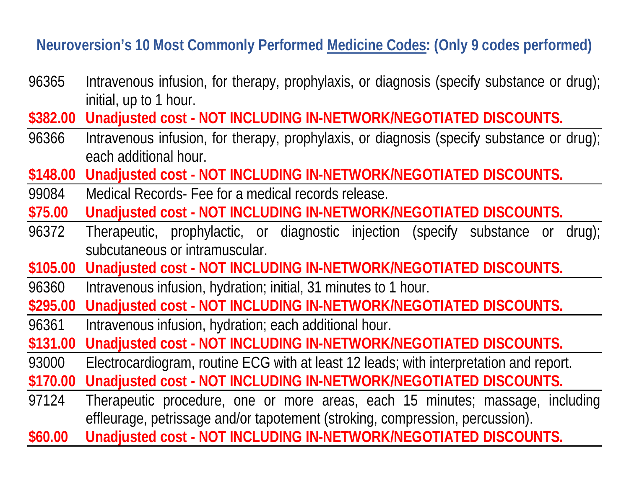## **Neuroversion's 10 Most Commonly Performed Medicine Codes: (Only 9 codes performed)**

- 96365 Intravenous infusion, for therapy, prophylaxis, or diagnosis (specify substance or drug); initial, up to 1 hour.
- **\$382.00 Unadjusted cost - NOT INCLUDING IN-NETWORK/NEGOTIATED DISCOUNTS.**
- 96366 Intravenous infusion, for therapy, prophylaxis, or diagnosis (specify substance or drug); each additional hour.
- **\$148.00 Unadjusted cost - NOT INCLUDING IN-NETWORK/NEGOTIATED DISCOUNTS.**
- 99084 Medical Records- Fee for a medical records release.
- **\$75.00 Unadjusted cost - NOT INCLUDING IN-NETWORK/NEGOTIATED DISCOUNTS.**
- 96372 Therapeutic, prophylactic, or diagnostic injection (specify substance or drug); subcutaneous or intramuscular.
- **\$105.00 Unadjusted cost - NOT INCLUDING IN-NETWORK/NEGOTIATED DISCOUNTS.**
- 96360 Intravenous infusion, hydration; initial, 31 minutes to 1 hour.
- **\$295.00 Unadjusted cost - NOT INCLUDING IN-NETWORK/NEGOTIATED DISCOUNTS.**
- 96361 Intravenous infusion, hydration; each additional hour.
- **\$131.00 Unadjusted cost - NOT INCLUDING IN-NETWORK/NEGOTIATED DISCOUNTS.**
- 93000 Electrocardiogram, routine ECG with at least 12 leads; with interpretation and report. **\$170.00 Unadjusted cost - NOT INCLUDING IN-NETWORK/NEGOTIATED DISCOUNTS.**
- 97124 Therapeutic procedure, one or more areas, each 15 minutes; massage, including effleurage, petrissage and/or tapotement (stroking, compression, percussion).
- **\$60.00 Unadjusted cost - NOT INCLUDING IN-NETWORK/NEGOTIATED DISCOUNTS.**